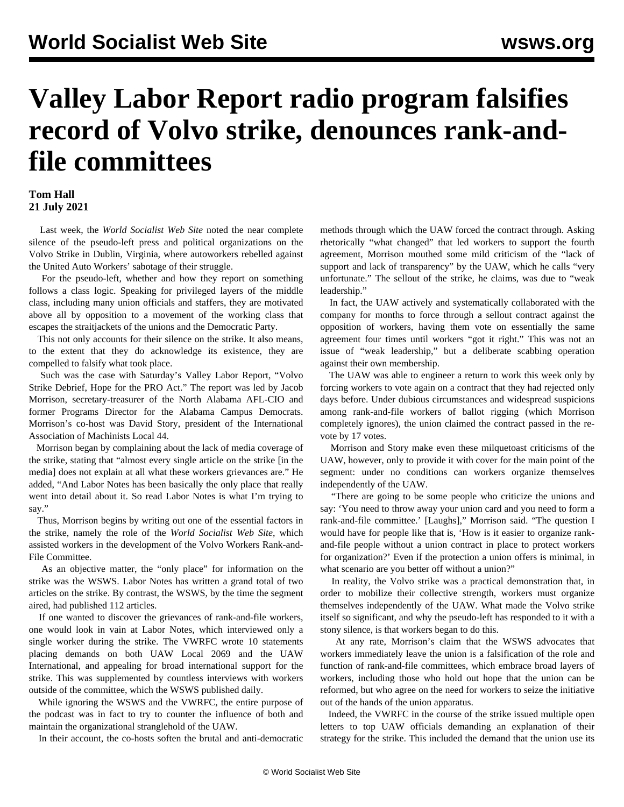## **Valley Labor Report radio program falsifies record of Volvo strike, denounces rank-andfile committees**

## **Tom Hall 21 July 2021**

 Last week, the *World Socialist Web Site* noted the [near complete](/en/articles/2021/07/13/left-j13.html) [silence](/en/articles/2021/07/13/left-j13.html) of the pseudo-left press and political organizations on the Volvo Strike in Dublin, Virginia, where autoworkers rebelled against the United Auto Workers' sabotage of their struggle.

 For the pseudo-left, whether and how they report on something follows a class logic. Speaking for privileged layers of the middle class, including many union officials and staffers, they are motivated above all by opposition to a movement of the working class that escapes the straitjackets of the unions and the Democratic Party.

 This not only accounts for their silence on the strike. It also means, to the extent that they do acknowledge its existence, they are compelled to falsify what took place.

 Such was the case with Saturday's Valley Labor Report, "Volvo Strike Debrief, Hope for the PRO Act." The report was led by Jacob Morrison, secretary-treasurer of the North Alabama AFL-CIO and former Programs Director for the Alabama Campus Democrats. Morrison's co-host was David Story, president of the International Association of Machinists Local 44.

 Morrison began by complaining about the lack of media coverage of the strike, stating that "almost every single article on the strike [in the media] does not explain at all what these workers grievances are." He added, "And Labor Notes has been basically the only place that really went into detail about it. So read Labor Notes is what I'm trying to say."

 Thus, Morrison begins by writing out one of the essential factors in the strike, namely the role of the *World Socialist Web Site*, which assisted workers in the development of the Volvo Workers Rank-and-File Committee.

 As an objective matter, the "only place" for information on the strike was the WSWS. Labor Notes has written a grand total of two articles on the strike. By contrast, the WSWS, by the time the segment aired, had published 112 articles.

 If one wanted to discover the grievances of rank-and-file workers, one would look in vain at Labor Notes, which interviewed only a single worker during the strike. The VWRFC wrote 10 statements placing demands on both UAW Local 2069 and the UAW International, and appealing for broad international support for the strike. This was supplemented by countless interviews with workers outside of the committee, which the WSWS published daily.

 While ignoring the WSWS and the VWRFC, the entire purpose of the podcast was in fact to try to counter the influence of both and maintain the organizational stranglehold of the UAW.

In their account, the co-hosts soften the brutal and anti-democratic

methods through which the UAW forced the contract through. Asking rhetorically "what changed" that led workers to support the fourth agreement, Morrison mouthed some mild criticism of the "lack of support and lack of transparency" by the UAW, which he calls "very unfortunate." The sellout of the strike, he claims, was due to "weak leadership."

 In fact, the UAW actively and systematically collaborated with the company for months to force through a sellout contract against the opposition of workers, having them vote on essentially the same agreement four times until workers "got it right." This was not an issue of "weak leadership," but a deliberate scabbing operation against their own membership.

 The UAW was able to engineer a return to work this week only by forcing workers to vote again on a contract that they had rejected only days before. Under dubious circumstances and widespread suspicions among rank-and-file workers of ballot rigging (which Morrison completely ignores), the union claimed the contract passed in the revote by 17 votes.

 Morrison and Story make even these milquetoast criticisms of the UAW, however, only to provide it with cover for the main point of the segment: under no conditions can workers organize themselves independently of the UAW.

 "There are going to be some people who criticize the unions and say: 'You need to throw away your union card and you need to form a rank-and-file committee.' [Laughs]," Morrison said. "The question I would have for people like that is, 'How is it easier to organize rankand-file people without a union contract in place to protect workers for organization?' Even if the protection a union offers is minimal, in what scenario are you better off without a union?"

 In reality, the Volvo strike was a practical demonstration that, in order to mobilize their collective strength, workers must organize themselves independently of the UAW. What made the Volvo strike itself so significant, and why the pseudo-left has responded to it with a stony silence, is that workers began to do this.

 At any rate, Morrison's claim that the WSWS advocates that workers immediately leave the union is a falsification of the role and function of rank-and-file committees, which embrace broad layers of workers, including those who hold out hope that the union can be reformed, but who agree on the need for workers to seize the initiative out of the hands of the union apparatus.

 Indeed, the VWRFC in the course of the strike issued multiple open letters to top UAW officials demanding an explanation of their strategy for the strike. This included the demand that the union use its